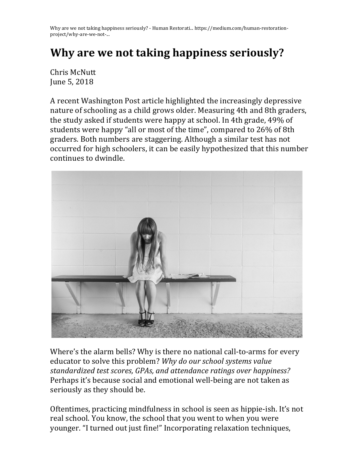Why are we not taking happiness seriously? - Human Restorati... https://medium.com/human-restorationproject/why-are-we-not-... 

## **Why are we not taking happiness seriously?**

Chris McNutt June 5, 2018

A recent Washington Post article highlighted the increasingly depressive nature of schooling as a child grows older. Measuring 4th and 8th graders, the study asked if students were happy at school. In 4th grade, 49% of students were happy "all or most of the time", compared to 26% of 8th graders. Both numbers are staggering. Although a similar test has not occurred for high schoolers, it can be easily hypothesized that this number continues to dwindle.



Where's the alarm bells? Why is there no national call-to-arms for every educator to solve this problem? Why do our school systems value standardized *test scores, GPAs, and attendance ratings over happiness?* Perhaps it's because social and emotional well-being are not taken as seriously as they should be.

Oftentimes, practicing mindfulness in school is seen as hippie-ish. It's not real school. You know, the school that you went to when you were younger. "I turned out just fine!" Incorporating relaxation techniques,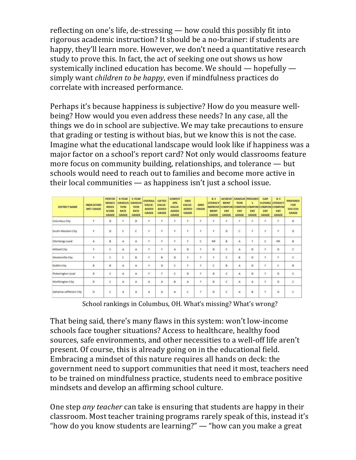reflecting on one's life, de-stressing  $-$  how could this possibly fit into rigorous academic instruction? It should be a no-brainer: if students are happy, they'll learn more. However, we don't need a quantitative research study to prove this. In fact, the act of seeking one out shows us how systemically inclined education has become. We should  $-$  hopefully  $$ simply want *children to be happy*, even if mindfulness practices do correlate with increased performance.

Perhaps it's because happiness is subjective? How do you measure wellbeing? How would you even address these needs? In any case, all the things we do in school are subjective. We may take precautions to ensure that grading or testing is without bias, but we know this is not the case. Imagine what the educational landscape would look like if happiness was a major factor on a school's report card? Not only would classrooms feature more focus on community building, relationships, and tolerance  $-$  but schools would need to reach out to families and become more active in their local communities  $-$  as happiness isn't just a school issue.

| <b>DISTRICT NAME</b>   | <b>INDICATORS</b><br><b>MET GRADE</b> | PERFOR<br><b>MANCE</b><br><b>INDEX</b><br><b>SCORE</b><br><b>GRADE</b> | 4-YEAR<br><b>GRADUA</b><br><b>TION</b><br><b>RATE</b><br><b>GRADE</b> | <b>S-YEAR</b><br><b>GRADUA</b><br><b>TION</b><br><b>RATE</b><br><b>GRADE</b> | <b>OVERALL</b><br><b>VALUE-</b><br><b>ADDED</b><br><b>GRADE</b> | <b>GIFTED</b><br><b>VALUE</b><br><b>ADDED</b><br><b>GRADE</b> | <b>LOWEST</b><br><b>20%</b><br><b>VALUE-</b><br><b>ADDED</b><br><b>GRADE</b> | <b>SWD</b><br>VALUE-<br><b>ADDED</b><br><b>GRADE</b> | <b>AMO</b><br><b>GRADE</b> | $K-3$<br><b>LITERACY</b><br><b>IMPROVE</b><br><b>MENT</b><br><b>GRADE</b> | <b>ACHIEVE</b><br><b>MENT</b><br><b>COMPON</b><br><b>ENT</b><br><b>GRADE</b> | <b>TION</b><br><b>MORMON</b><br>ENT<br><b>GRADE</b> | <b>GRADUA PROGRES</b><br>s<br>COMPON<br>ENT<br><b>GRADE</b> | <b>GAP</b><br><b>CLOSING LITERACY</b><br><b>COMPON COMPON</b><br>ENT<br><b>GRADE</b> | $K-3$<br>ENT<br><b>GRADE</b> | <b>PREPARED</b><br>FOR<br><b>SUCCESS</b><br><b>GRADE</b> |
|------------------------|---------------------------------------|------------------------------------------------------------------------|-----------------------------------------------------------------------|------------------------------------------------------------------------------|-----------------------------------------------------------------|---------------------------------------------------------------|------------------------------------------------------------------------------|------------------------------------------------------|----------------------------|---------------------------------------------------------------------------|------------------------------------------------------------------------------|-----------------------------------------------------|-------------------------------------------------------------|--------------------------------------------------------------------------------------|------------------------------|----------------------------------------------------------|
| Columbus City          |                                       | b                                                                      | ×                                                                     | D                                                                            | ×.                                                              |                                                               |                                                                              | F                                                    | F                          | $\mathbf{F}$                                                              | F                                                                            |                                                     |                                                             |                                                                                      | ×                            | D                                                        |
| South-Western City     | $\mathsf F$                           | D                                                                      | $\epsilon$                                                            | $\epsilon$                                                                   | F                                                               | g.                                                            | F                                                                            | $\tilde{\mathbb{F}}$                                 | F                          | $\mathbf{F}$                                                              | D                                                                            | $\mathsf{c}$                                        | p                                                           | F                                                                                    | F                            | D                                                        |
| <b>Olentangy Local</b> | А                                     | B                                                                      | A                                                                     | А                                                                            | p                                                               | c                                                             | p                                                                            | F                                                    | c                          | <b>NR</b>                                                                 | B                                                                            | А                                                   | c                                                           | c                                                                                    | <b>NR</b>                    | B                                                        |
| <b>Hilliard City</b>   | F                                     | C                                                                      | А                                                                     | А                                                                            | F                                                               | c                                                             | А                                                                            | D                                                    | F                          | D                                                                         | c                                                                            | А                                                   | D                                                           | F                                                                                    | D                            | c                                                        |
| Westerville City       | F                                     | C                                                                      | c                                                                     | B                                                                            | F                                                               | B                                                             | D                                                                            | F                                                    | F                          | F                                                                         | c                                                                            | B                                                   | Ð                                                           | F                                                                                    | F                            | c                                                        |
| Dublin City            | В                                     | B                                                                      | А                                                                     | А                                                                            | E                                                               | D                                                             | c                                                                            | F                                                    | F                          | Ċ                                                                         | B                                                                            | А                                                   | D                                                           | $\overline{p}$                                                                       | C                            | B                                                        |
| Pickerington Local     | D                                     | Ċ                                                                      | А                                                                     | А                                                                            | ×                                                               |                                                               | c                                                                            | D                                                    | ø                          | D                                                                         | ¢                                                                            | А                                                   | D                                                           | $\mathfrak{g}$                                                                       | D                            | c                                                        |
| Worthington City       | D                                     | Ċ                                                                      | A                                                                     | А                                                                            | A                                                               | А                                                             | B                                                                            | A                                                    | F                          | D                                                                         | ¢                                                                            | А                                                   | А                                                           | $\boldsymbol{\sharp}$                                                                | D                            | ¢                                                        |
| Gahanna-Jefferson City | D                                     | c                                                                      | А                                                                     | А                                                                            | A                                                               | A                                                             | А                                                                            | c                                                    | F                          | D                                                                         | c                                                                            | А                                                   | B                                                           | F                                                                                    | D                            | c                                                        |

School rankings in Columbus, OH. What's missing? What's wrong?

That being said, there's many flaws in this system: won't low-income schools face tougher situations? Access to healthcare, healthy food sources, safe environments, and other necessities to a well-off life aren't present. Of course, this is already going on in the educational field. Embracing a mindset of this nature requires all hands on deck: the government need to support communities that need it most, teachers need to be trained on mindfulness practice, students need to embrace positive mindsets and develop an affirming school culture.

One step *any teacher* can take is ensuring that students are happy in their classroom. Most teacher training programs rarely speak of this, instead it's "how do you know students are learning?"  $-$  "how can you make a great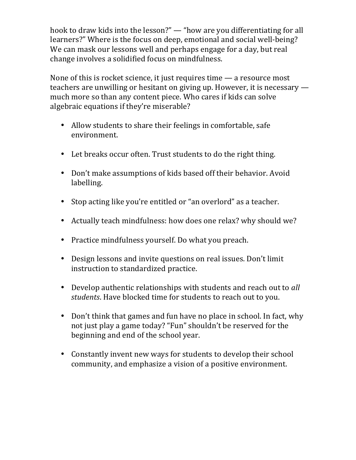hook to draw kids into the lesson?" — "how are you differentiating for all learners?" Where is the focus on deep, emotional and social well-being? We can mask our lessons well and perhaps engage for a day, but real change involves a solidified focus on mindfulness.

None of this is rocket science, it just requires time  $-$  a resource most teachers are unwilling or hesitant on giving up. However, it is necessary  $$ much more so than any content piece. Who cares if kids can solve algebraic equations if they're miserable?

- Allow students to share their feelings in comfortable, safe environment.
- Let breaks occur often. Trust students to do the right thing.
- Don't make assumptions of kids based off their behavior. Avoid labelling.
- Stop acting like you're entitled or "an overlord" as a teacher.
- Actually teach mindfulness: how does one relax? why should we?
- Practice mindfulness yourself. Do what you preach.
- Design lessons and invite questions on real issues. Don't limit instruction to standardized practice.
- Develop authentic relationships with students and reach out to *all students*. Have blocked time for students to reach out to you.
- Don't think that games and fun have no place in school. In fact, why not just play a game today? "Fun" shouldn't be reserved for the beginning and end of the school year.
- Constantly invent new ways for students to develop their school community, and emphasize a vision of a positive environment.